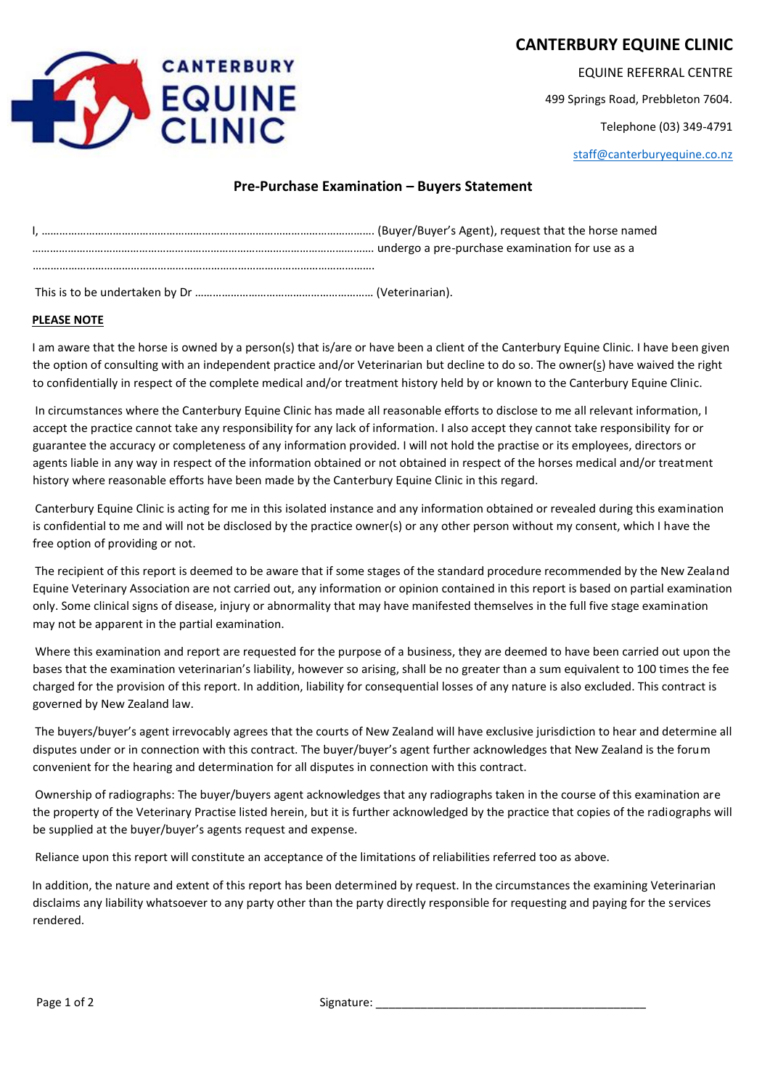# **CANTERBURY EQUINE CLINIC**



EQUINE REFERRAL CENTRE

499 Springs Road, Prebbleton 7604.

Telephone (03) 349-4791

staff@canterburyequine.co.nz

## **Pre-Purchase Examination – Buyers Statement**

This is to be undertaken by Dr …………………………………………………… (Veterinarian).

#### **PLEASE NOTE**

I am aware that the horse is owned by a person(s) that is/are or have been a client of the Canterbury Equine Clinic. I have been given the option of consulting with an independent practice and/or Veterinarian but decline to do so. The owner(s) have waived the right to confidentially in respect of the complete medical and/or treatment history held by or known to the Canterbury Equine Clinic.

In circumstances where the Canterbury Equine Clinic has made all reasonable efforts to disclose to me all relevant information, I accept the practice cannot take any responsibility for any lack of information. I also accept they cannot take responsibility for or guarantee the accuracy or completeness of any information provided. I will not hold the practise or its employees, directors or agents liable in any way in respect of the information obtained or not obtained in respect of the horses medical and/or treatment history where reasonable efforts have been made by the Canterbury Equine Clinic in this regard.

Canterbury Equine Clinic is acting for me in this isolated instance and any information obtained or revealed during this examination is confidential to me and will not be disclosed by the practice owner(s) or any other person without my consent, which I have the free option of providing or not.

The recipient of this report is deemed to be aware that if some stages of the standard procedure recommended by the New Zealand Equine Veterinary Association are not carried out, any information or opinion contained in this report is based on partial examination only. Some clinical signs of disease, injury or abnormality that may have manifested themselves in the full five stage examination may not be apparent in the partial examination.

Where this examination and report are requested for the purpose of a business, they are deemed to have been carried out upon the bases that the examination veterinarian's liability, however so arising, shall be no greater than a sum equivalent to 100 times the fee charged for the provision of this report. In addition, liability for consequential losses of any nature is also excluded. This contract is governed by New Zealand law.

The buyers/buyer's agent irrevocably agrees that the courts of New Zealand will have exclusive jurisdiction to hear and determine all disputes under or in connection with this contract. The buyer/buyer's agent further acknowledges that New Zealand is the forum convenient for the hearing and determination for all disputes in connection with this contract.

Ownership of radiographs: The buyer/buyers agent acknowledges that any radiographs taken in the course of this examination are the property of the Veterinary Practise listed herein, but it is further acknowledged by the practice that copies of the radiographs will be supplied at the buyer/buyer's agents request and expense.

Reliance upon this report will constitute an acceptance of the limitations of reliabilities referred too as above.

In addition, the nature and extent of this report has been determined by request. In the circumstances the examining Veterinarian disclaims any liability whatsoever to any party other than the party directly responsible for requesting and paying for the services rendered.